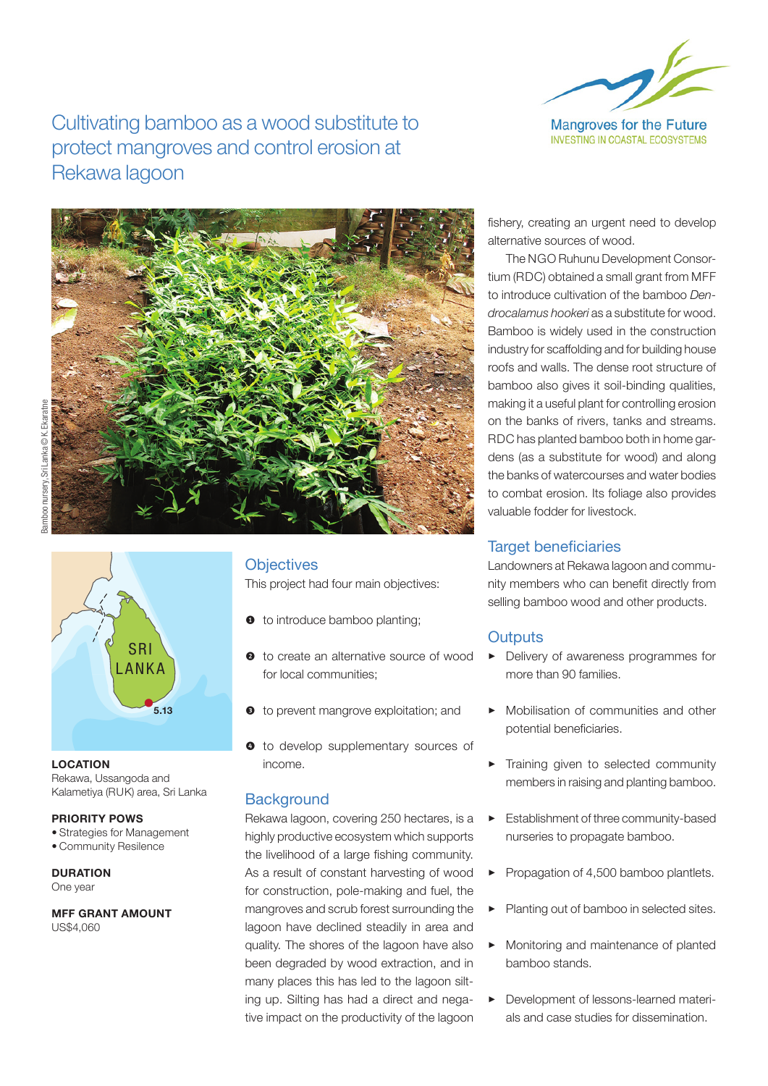

**INVESTING IN COASTAL ECOSYSTEMS** 

Cultivating bamboo as a wood substitute to protect mangroves and control erosion at Rekawa lagoon





**LOCATION** Rekawa, Ussangoda and Kalametiya (RUK) area, Sri Lanka

#### **PRIORITY POWS**

- • Strategies for Management
- • Community Resilence

**DURATION** One year

**MFF GRANT AMOUNT** US\$4,060

## **Objectives**

This project had four main objectives:

- $\bullet$  to introduce bamboo planting;
- $\bullet$  to create an alternative source of wood for local communities;
- $\bullet$  to prevent mangrove exploitation; and
- $\bullet$  to develop supplementary sources of income.

## **Background**

Rekawa lagoon, covering 250 hectares, is a highly productive ecosystem which supports the livelihood of a large fishing community. As a result of constant harvesting of wood for construction, pole-making and fuel, the mangroves and scrub forest surrounding the lagoon have declined steadily in area and quality. The shores of the lagoon have also been degraded by wood extraction, and in many places this has led to the lagoon silting up. Silting has had a direct and negative impact on the productivity of the lagoon Ing up. Silting<br>
Internation<br>
Internation

fishery, creating an urgent need to develop alternative sources of wood.

The NGO Ruhunu Development Consortium (RDC) obtained a small grant from MFF to introduce cultivation of the bamboo *Dendrocalamus hookeri* as a substitute for wood. Bamboo is widely used in the construction industry for scaffolding and for building house roofs and walls. The dense root structure of bamboo also gives it soil-binding qualities, making it a useful plant for controlling erosion on the banks of rivers, tanks and streams. RDC has planted bamboo both in home gardens (as a substitute for wood) and along the banks of watercourses and water bodies to combat erosion. Its foliage also provides valuable fodder for livestock. ialities,<br>erosion<br>reams.

## **Target beneficiaries**

Landowners at Rekawa lagoon and community members who can benefit directly from selling bamboo wood and other products.

### **Outputs**

- **Delivery of awareness programmes for** more than 90 families.
- Mobilisation of communities and other potential beneficiaries.
- Training given to selected community members in raising and planting bamboo.
- Establishment of three community-based nurseries to propagate bamboo.
- Propagation of 4,500 bamboo plantlets.
- Planting out of bamboo in selected sites.
- Monitoring and maintenance of planted bamboo stands.
- Development of lessons-learned materials and case studies for dissemination.